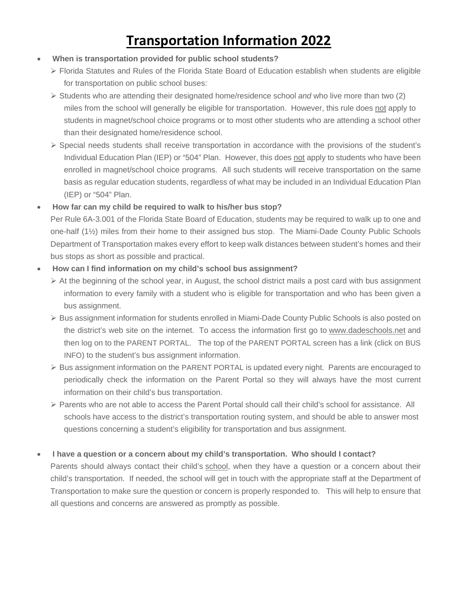# **Transportation Information 2022**

- **When is transportation provided for public school students?**
	- Florida Statutes and Rules of the Florida State Board of Education establish when students are eligible for transportation on public school buses:
	- Students who are attending their designated home/residence school *and* who live more than two (2) miles from the school will generally be eligible for transportation. However, this rule does not apply to students in magnet/school choice programs or to most other students who are attending a school other than their designated home/residence school.
	- $\triangleright$  Special needs students shall receive transportation in accordance with the provisions of the student's Individual Education Plan (IEP) or "504" Plan. However, this does not apply to students who have been enrolled in magnet/school choice programs. All such students will receive transportation on the same basis as regular education students, regardless of what may be included in an Individual Education Plan (IEP) or "504" Plan.

## • **How far can my child be required to walk to his/her bus stop?**

Per Rule 6A-3.001 of the Florida State Board of Education, students may be required to walk up to one and one-half (1½) miles from their home to their assigned bus stop. The Miami-Dade County Public Schools Department of Transportation makes every effort to keep walk distances between student's homes and their bus stops as short as possible and practical.

## • **How can I find information on my child's school bus assignment?**

- $\triangleright$  At the beginning of the school year, in August, the school district mails a post card with bus assignment information to every family with a student who is eligible for transportation and who has been given a bus assignment.
- $\triangleright$  Bus assignment information for students enrolled in Miami-Dade County Public Schools is also posted on the district's web site on the internet. To access the information first go to [www.dadeschools.net](http://www.dadeschools.net/) and then log on to the PARENT PORTAL. The top of the PARENT PORTAL screen has a link (click on BUS INFO) to the student's bus assignment information.
- $\triangleright$  Bus assignment information on the PARENT PORTAL is updated every night. Parents are encouraged to periodically check the information on the Parent Portal so they will always have the most current information on their child's bus transportation.
- Parents who are not able to access the Parent Portal should call their child's school for assistance. All schools have access to the district's transportation routing system, and should be able to answer most questions concerning a student's eligibility for transportation and bus assignment.

## • **I have a question or a concern about my child's transportation. Who should I contact?**

Parents should always contact their child's school, when they have a question or a concern about their child's transportation. If needed, the school will get in touch with the appropriate staff at the Department of Transportation to make sure the question or concern is properly responded to. This will help to ensure that all questions and concerns are answered as promptly as possible.